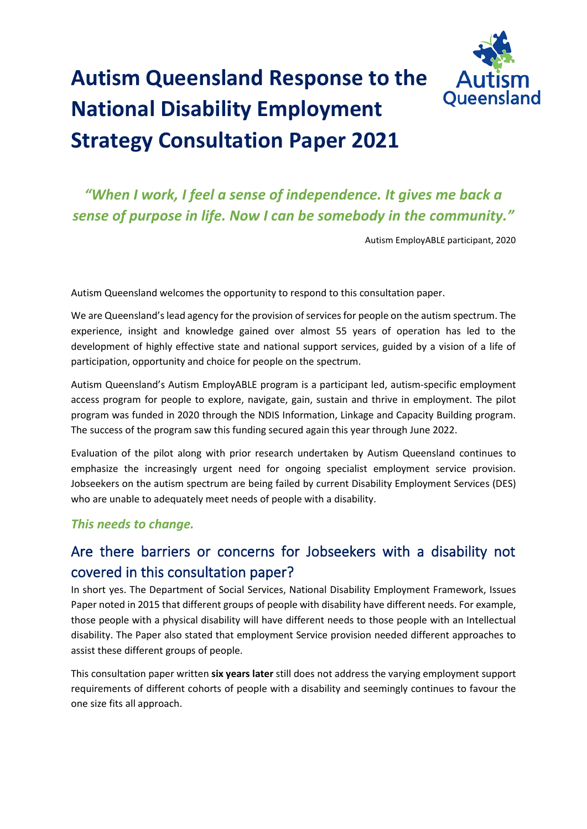

# **Autism Queensland Response to the National Disability Employment Strategy Consultation Paper 2021**

# *"When I work, I feel a sense of independence. It gives me back a sense of purpose in life. Now I can be somebody in the community."*

Autism EmployABLE participant, 2020

Autism Queensland welcomes the opportunity to respond to this consultation paper.

We are Queensland's lead agency for the provision of services for people on the autism spectrum. The experience, insight and knowledge gained over almost 55 years of operation has led to the development of highly effective state and national support services, guided by a vision of a life of participation, opportunity and choice for people on the spectrum.

Autism Queensland's Autism EmployABLE program is a participant led, autism-specific employment access program for people to explore, navigate, gain, sustain and thrive in employment. The pilot program was funded in 2020 through the NDIS Information, Linkage and Capacity Building program. The success of the program saw this funding secured again this year through June 2022.

Evaluation of the pilot along with prior research undertaken by Autism Queensland continues to emphasize the increasingly urgent need for ongoing specialist employment service provision. Jobseekers on the autism spectrum are being failed by current Disability Employment Services (DES) who are unable to adequately meet needs of people with a disability.

## *This needs to change.*

## Are there barriers or concerns for Jobseekers with a disability not covered in this consultation paper?

In short yes. The Department of Social Services, National Disability Employment Framework, Issues Paper noted in 2015 that different groups of people with disability have different needs. For example, those people with a physical disability will have different needs to those people with an Intellectual disability. The Paper also stated that employment Service provision needed different approaches to assist these different groups of people.

This consultation paper written **six years later** still does not address the varying employment support requirements of different cohorts of people with a disability and seemingly continues to favour the one size fits all approach.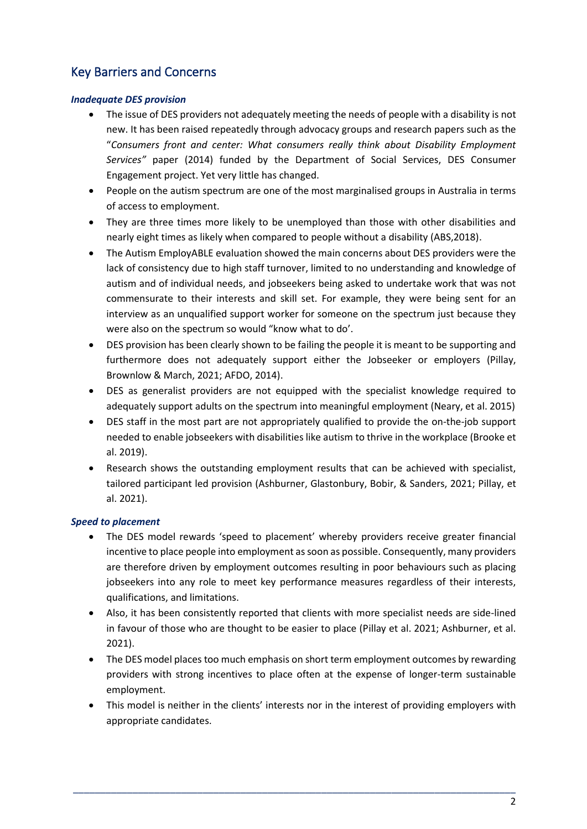## Key Barriers and Concerns

## *Inadequate DES provision*

- The issue of DES providers not adequately meeting the needs of people with a disability is not new. It has been raised repeatedly through advocacy groups and research papers such as the "*Consumers front and center: What consumers really think about Disability Employment Services"* paper (2014) funded by the Department of Social Services, DES Consumer Engagement project. Yet very little has changed.
- People on the autism spectrum are one of the most marginalised groups in Australia in terms of access to employment.
- They are three times more likely to be unemployed than those with other disabilities and nearly eight times as likely when compared to people without a disability (ABS,2018).
- The Autism EmployABLE evaluation showed the main concerns about DES providers were the lack of consistency due to high staff turnover, limited to no understanding and knowledge of autism and of individual needs, and jobseekers being asked to undertake work that was not commensurate to their interests and skill set. For example, they were being sent for an interview as an unqualified support worker for someone on the spectrum just because they were also on the spectrum so would "know what to do'.
- DES provision has been clearly shown to be failing the people it is meant to be supporting and furthermore does not adequately support either the Jobseeker or employers (Pillay, Brownlow & March, 2021; AFDO, 2014).
- DES as generalist providers are not equipped with the specialist knowledge required to adequately support adults on the spectrum into meaningful employment (Neary, et al. 2015)
- DES staff in the most part are not appropriately qualified to provide the on-the-job support needed to enable jobseekers with disabilities like autism to thrive in the workplace (Brooke et al. 2019).
- Research shows the outstanding employment results that can be achieved with specialist, tailored participant led provision (Ashburner, Glastonbury, Bobir, & Sanders, 2021; Pillay, et al. 2021).

## *Speed to placement*

- The DES model rewards 'speed to placement' whereby providers receive greater financial incentive to place people into employment as soon as possible. Consequently, many providers are therefore driven by employment outcomes resulting in poor behaviours such as placing jobseekers into any role to meet key performance measures regardless of their interests, qualifications, and limitations.
- Also, it has been consistently reported that clients with more specialist needs are side-lined in favour of those who are thought to be easier to place (Pillay et al. 2021; Ashburner, et al. 2021).
- The DES model places too much emphasis on short term employment outcomes by rewarding providers with strong incentives to place often at the expense of longer-term sustainable employment.
- This model is neither in the clients' interests nor in the interest of providing employers with appropriate candidates.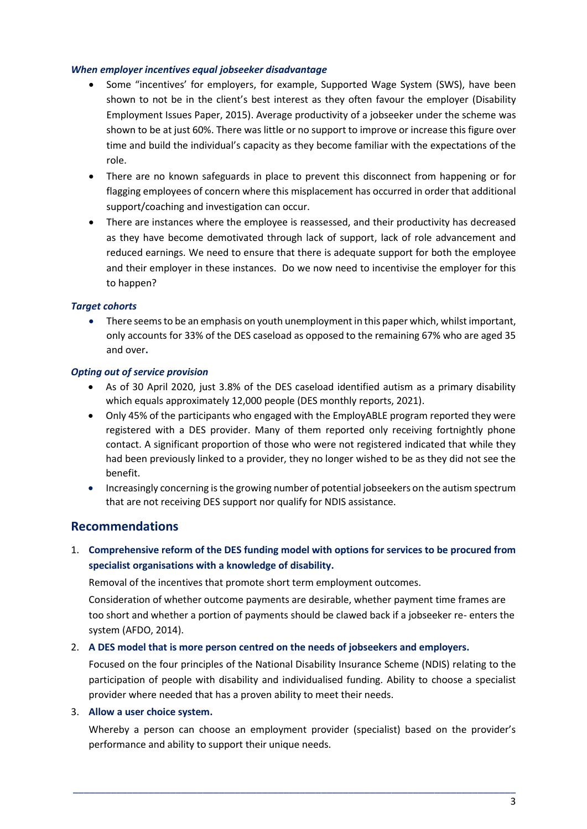### *When employer incentives equal jobseeker disadvantage*

- Some "incentives' for employers, for example, Supported Wage System (SWS), have been shown to not be in the client's best interest as they often favour the employer (Disability Employment Issues Paper, 2015). Average productivity of a jobseeker under the scheme was shown to be at just 60%. There was little or no support to improve or increase this figure over time and build the individual's capacity as they become familiar with the expectations of the role.
- There are no known safeguards in place to prevent this disconnect from happening or for flagging employees of concern where this misplacement has occurred in order that additional support/coaching and investigation can occur.
- There are instances where the employee is reassessed, and their productivity has decreased as they have become demotivated through lack of support, lack of role advancement and reduced earnings. We need to ensure that there is adequate support for both the employee and their employer in these instances. Do we now need to incentivise the employer for this to happen?

## *Target cohorts*

• There seems to be an emphasis on youth unemployment in this paper which, whilst important, only accounts for 33% of the DES caseload as opposed to the remaining 67% who are aged 35 and over**.**

## *Opting out of service provision*

- As of 30 April 2020, just 3.8% of the DES caseload identified autism as a primary disability which equals approximately 12,000 people (DES monthly reports, 2021).
- Only 45% of the participants who engaged with the EmployABLE program reported they were registered with a DES provider. Many of them reported only receiving fortnightly phone contact. A significant proportion of those who were not registered indicated that while they had been previously linked to a provider, they no longer wished to be as they did not see the benefit.
- Increasingly concerning is the growing number of potential jobseekers on the autism spectrum that are not receiving DES support nor qualify for NDIS assistance.

## **Recommendations**

1. **Comprehensive reform of the DES funding model with options for services to be procured from specialist organisations with a knowledge of disability.**

Removal of the incentives that promote short term employment outcomes.

Consideration of whether outcome payments are desirable, whether payment time frames are too short and whether a portion of payments should be clawed back if a jobseeker re- enters the system (AFDO, 2014).

### 2. **A DES model that is more person centred on the needs of jobseekers and employers.**

Focused on the four principles of the National Disability Insurance Scheme (NDIS) relating to the participation of people with disability and individualised funding. Ability to choose a specialist provider where needed that has a proven ability to meet their needs.

### 3. **Allow a user choice system.**

Whereby a person can choose an employment provider (specialist) based on the provider's performance and ability to support their unique needs.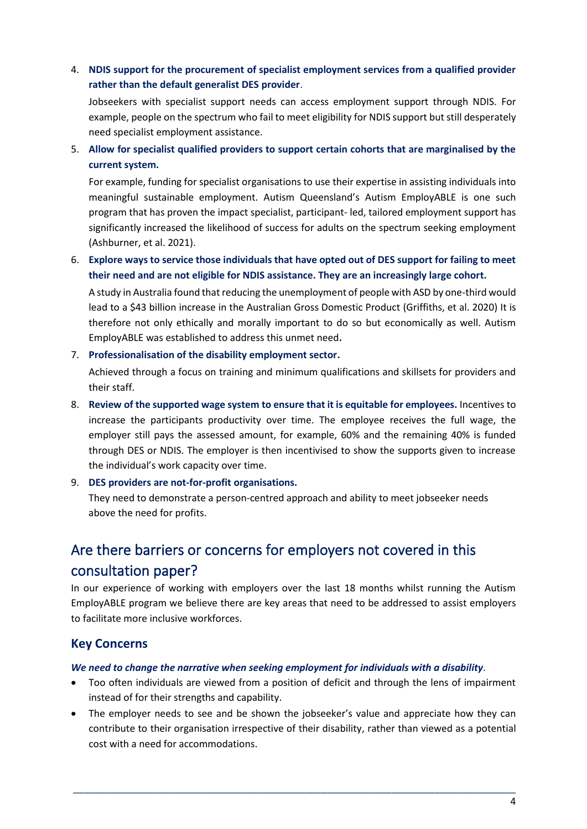4. **NDIS support for the procurement of specialist employment services from a qualified provider rather than the default generalist DES provider**.

Jobseekers with specialist support needs can access employment support through NDIS. For example, people on the spectrum who fail to meet eligibility for NDIS support but still desperately need specialist employment assistance.

5. **Allow for specialist qualified providers to support certain cohorts that are marginalised by the current system.**

For example, funding for specialist organisations to use their expertise in assisting individuals into meaningful sustainable employment. Autism Queensland's Autism EmployABLE is one such program that has proven the impact specialist, participant- led, tailored employment support has significantly increased the likelihood of success for adults on the spectrum seeking employment (Ashburner, et al. 2021).

## 6. **Explore ways to service those individuals that have opted out of DES support for failing to meet their need and are not eligible for NDIS assistance. They are an increasingly large cohort.**

A study in Australia found that reducing the unemployment of people with ASD by one-third would lead to a \$43 billion increase in the Australian Gross Domestic Product (Griffiths, et al. 2020) It is therefore not only ethically and morally important to do so but economically as well. Autism EmployABLE was established to address this unmet need**.**

## 7. **Professionalisation of the disability employment sector.**

Achieved through a focus on training and minimum qualifications and skillsets for providers and their staff.

8. **Review of the supported wage system to ensure that it is equitable for employees.** Incentives to increase the participants productivity over time. The employee receives the full wage, the employer still pays the assessed amount, for example, 60% and the remaining 40% is funded through DES or NDIS. The employer is then incentivised to show the supports given to increase the individual's work capacity over time.

### 9. **DES providers are not-for-profit organisations.**

They need to demonstrate a person-centred approach and ability to meet jobseeker needs above the need for profits.

# Are there barriers or concerns for employers not covered in this consultation paper?

In our experience of working with employers over the last 18 months whilst running the Autism EmployABLE program we believe there are key areas that need to be addressed to assist employers to facilitate more inclusive workforces.

## **Key Concerns**

### *We need to change the narrative when seeking employment for individuals with a disability.*

- Too often individuals are viewed from a position of deficit and through the lens of impairment instead of for their strengths and capability.
- The employer needs to see and be shown the jobseeker's value and appreciate how they can contribute to their organisation irrespective of their disability, rather than viewed as a potential cost with a need for accommodations.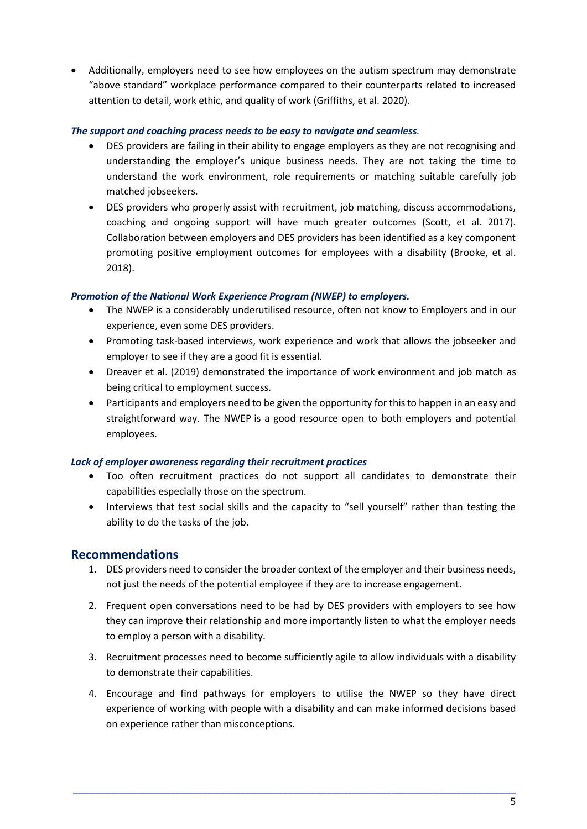• Additionally, employers need to see how employees on the autism spectrum may demonstrate "above standard" workplace performance compared to their counterparts related to increased attention to detail, work ethic, and quality of work (Griffiths, et al. 2020).

## *The support and coaching process needs to be easy to navigate and seamless.*

- DES providers are failing in their ability to engage employers as they are not recognising and understanding the employer's unique business needs. They are not taking the time to understand the work environment, role requirements or matching suitable carefully job matched jobseekers.
- DES providers who properly assist with recruitment, job matching, discuss accommodations, coaching and ongoing support will have much greater outcomes (Scott, et al. 2017). Collaboration between employers and DES providers has been identified as a key component promoting positive employment outcomes for employees with a disability (Brooke, et al. 2018).

## *Promotion of the National Work Experience Program (NWEP) to employers.*

- The NWEP is a considerably underutilised resource, often not know to Employers and in our experience, even some DES providers.
- Promoting task-based interviews, work experience and work that allows the jobseeker and employer to see if they are a good fit is essential.
- Dreaver et al. (2019) demonstrated the importance of work environment and job match as being critical to employment success.
- Participants and employers need to be given the opportunity for this to happen in an easy and straightforward way. The NWEP is a good resource open to both employers and potential employees.

### *Lack of employer awareness regarding their recruitment practices*

- Too often recruitment practices do not support all candidates to demonstrate their capabilities especially those on the spectrum.
- Interviews that test social skills and the capacity to "sell yourself" rather than testing the ability to do the tasks of the job.

## **Recommendations**

- 1. DES providers need to consider the broader context of the employer and their business needs, not just the needs of the potential employee if they are to increase engagement.
- 2. Frequent open conversations need to be had by DES providers with employers to see how they can improve their relationship and more importantly listen to what the employer needs to employ a person with a disability.
- 3. Recruitment processes need to become sufficiently agile to allow individuals with a disability to demonstrate their capabilities.
- 4. Encourage and find pathways for employers to utilise the NWEP so they have direct experience of working with people with a disability and can make informed decisions based on experience rather than misconceptions.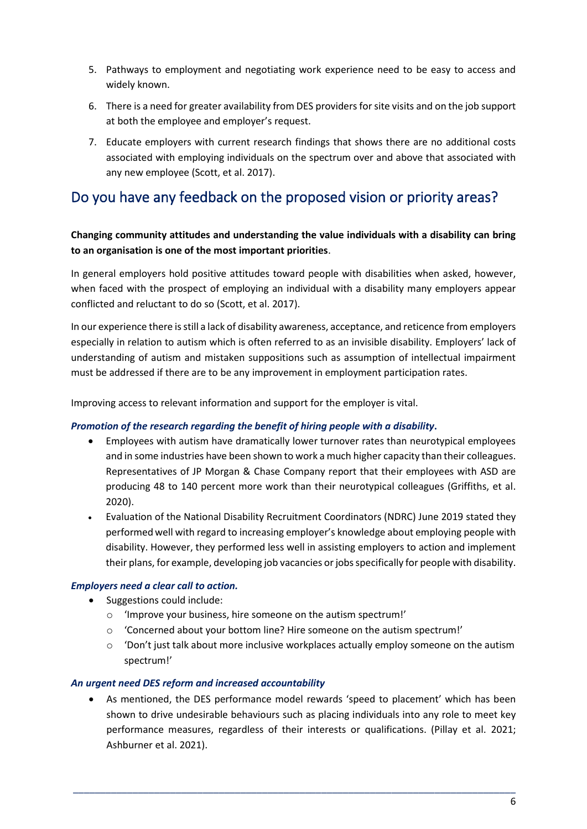- 5. Pathways to employment and negotiating work experience need to be easy to access and widely known.
- 6. There is a need for greater availability from DES providers for site visits and on the job support at both the employee and employer's request.
- 7. Educate employers with current research findings that shows there are no additional costs associated with employing individuals on the spectrum over and above that associated with any new employee (Scott, et al. 2017).

## Do you have any feedback on the proposed vision or priority areas?

## **Changing community attitudes and understanding the value individuals with a disability can bring to an organisation is one of the most important priorities**.

In general employers hold positive attitudes toward people with disabilities when asked, however, when faced with the prospect of employing an individual with a disability many employers appear conflicted and reluctant to do so (Scott, et al. 2017).

In our experience there is still a lack of disability awareness, acceptance, and reticence from employers especially in relation to autism which is often referred to as an invisible disability. Employers' lack of understanding of autism and mistaken suppositions such as assumption of intellectual impairment must be addressed if there are to be any improvement in employment participation rates.

Improving access to relevant information and support for the employer is vital.

## *Promotion of the research regarding the benefit of hiring people with a disability***.**

- Employees with autism have dramatically lower turnover rates than neurotypical employees and in some industries have been shown to work a much higher capacity than their colleagues. Representatives of JP Morgan & Chase Company report that their employees with ASD are producing 48 to 140 percent more work than their neurotypical colleagues (Griffiths, et al. 2020).
- Evaluation of the National Disability Recruitment Coordinators (NDRC) June 2019 stated they performedwell with regard to increasing employer's knowledge about employing people with disability. However, they performed less well in assisting employers to action and implement their plans, for example, developing job vacancies or jobs specifically for people with disability.

### *Employers need a clear call to action.*

- Suggestions could include:
	- o 'Improve your business, hire someone on the autism spectrum!'
	- o 'Concerned about your bottom line? Hire someone on the autism spectrum!'
	- o 'Don't just talk about more inclusive workplaces actually employ someone on the autism spectrum!'

### *An urgent need DES reform and increased accountability*

• As mentioned, the DES performance model rewards 'speed to placement' which has been shown to drive undesirable behaviours such as placing individuals into any role to meet key performance measures, regardless of their interests or qualifications. (Pillay et al. 2021; Ashburner et al. 2021).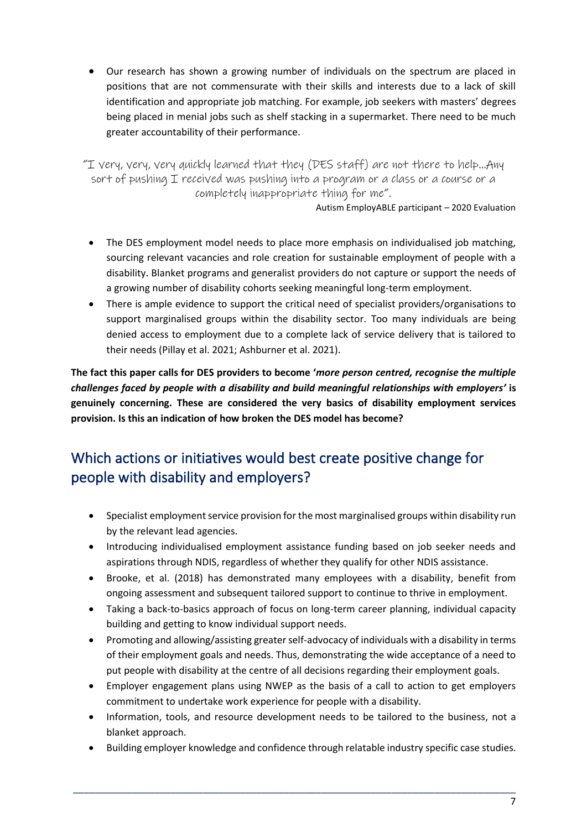• Our research has shown a growing number of individuals on the spectrum are placed in positions that are not commensurate with their skills and interests due to a lack of skill identification and appropriate job matching. For example, job seekers with masters' degrees being placed in menial jobs such as shelf stacking in a supermarket. There need to be much greater accountability of their performance.

"I very, very, very quickly learned that they (DES staff) are not there to help…Any sort of pushing I received was pushing into a program or a class or a course or a completely inappropriate thing for me".

Autism EmployABLE participant – 2020 Evaluation

- The DES employment model needs to place more emphasis on individualised job matching, sourcing relevant vacancies and role creation for sustainable employment of people with a disability. Blanket programs and generalist providers do not capture or support the needs of a growing number of disability cohorts seeking meaningful long-term employment.
- There is ample evidence to support the critical need of specialist providers/organisations to support marginalised groups within the disability sector. Too many individuals are being denied access to employment due to a complete lack of service delivery that is tailored to their needs (Pillay et al. 2021; Ashburner et al. 2021).

**The fact this paper calls for DES providers to become '***more person centred, recognise the multiple challenges faced by people with a disability and build meaningful relationships with employers'* **is genuinely concerning. These are considered the very basics of disability employment services provision. Is this an indication of how broken the DES model has become?**

# Which actions or initiatives would best create positive change for people with disability and employers?

- Specialist employment service provision for the most marginalised groups within disability run by the relevant lead agencies.
- Introducing individualised employment assistance funding based on job seeker needs and aspirations through NDIS, regardless of whether they qualify for other NDIS assistance.
- Brooke, et al. (2018) has demonstrated many employees with a disability, benefit from ongoing assessment and subsequent tailored support to continue to thrive in employment.
- Taking a back-to-basics approach of focus on long-term career planning, individual capacity building and getting to know individual support needs.
- Promoting and allowing/assisting greater self-advocacy of individuals with a disability in terms of their employment goals and needs. Thus, demonstrating the wide acceptance of a need to put people with disability at the centre of all decisions regarding their employment goals.
- Employer engagement plans using NWEP as the basis of a call to action to get employers commitment to undertake work experience for people with a disability.
- Information, tools, and resource development needs to be tailored to the business, not a blanket approach.
- Building employer knowledge and confidence through relatable industry specific case studies.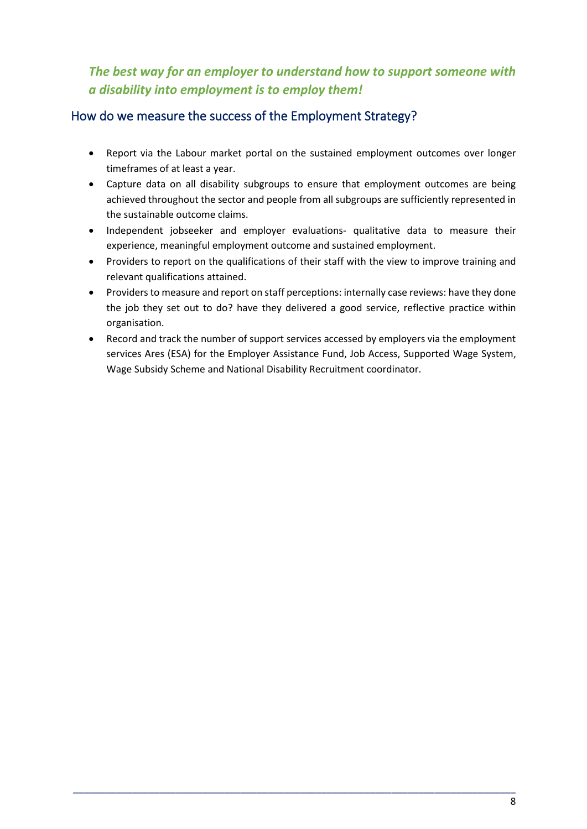## *The best way for an employer to understand how to support someone with a disability into employment is to employ them!*

## How do we measure the success of the Employment Strategy?

- Report via the Labour market portal on the sustained employment outcomes over longer timeframes of at least a year.
- Capture data on all disability subgroups to ensure that employment outcomes are being achieved throughout the sector and people from all subgroups are sufficiently represented in the sustainable outcome claims.
- Independent jobseeker and employer evaluations- qualitative data to measure their experience, meaningful employment outcome and sustained employment.
- Providers to report on the qualifications of their staff with the view to improve training and relevant qualifications attained.
- Providers to measure and report on staff perceptions: internally case reviews: have they done the job they set out to do? have they delivered a good service, reflective practice within organisation.
- Record and track the number of support services accessed by employers via the employment services Ares (ESA) for the Employer Assistance Fund, Job Access, Supported Wage System, Wage Subsidy Scheme and National Disability Recruitment coordinator.